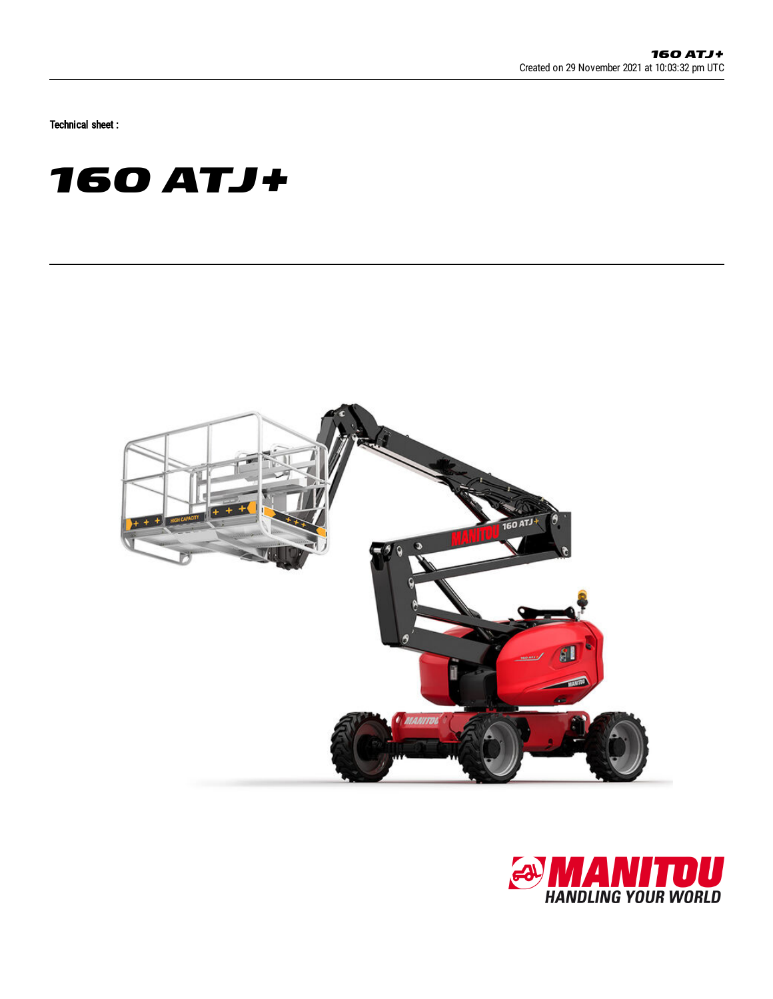Technical sheet :





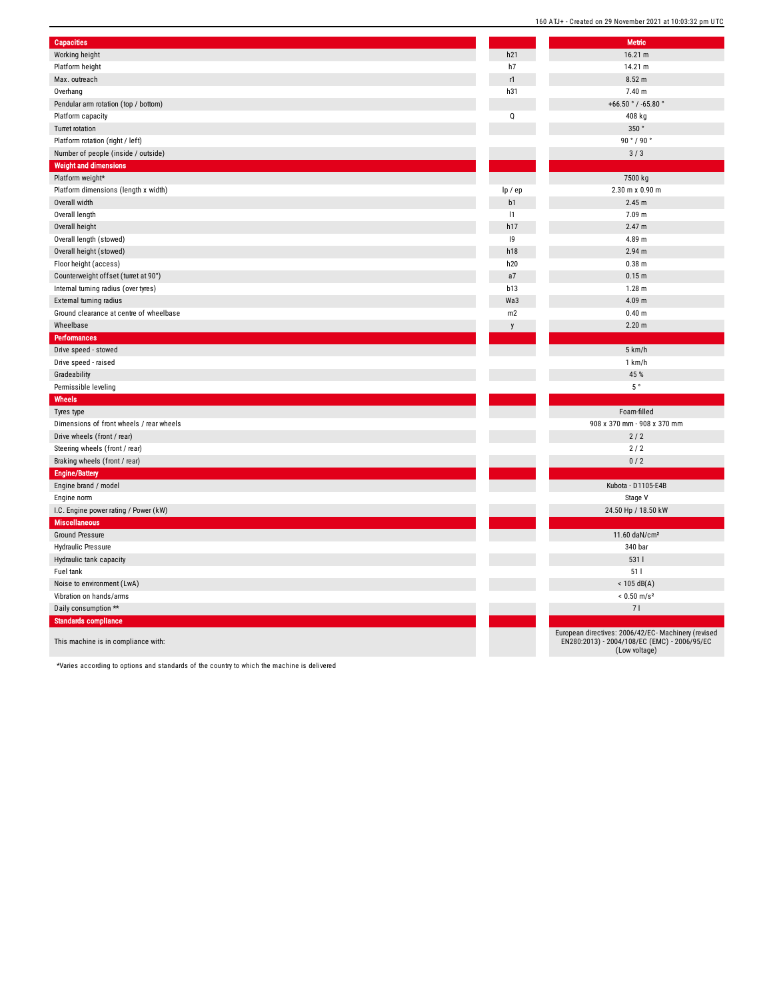| <b>Capacities</b>                        |         | <b>Metric</b>                            |
|------------------------------------------|---------|------------------------------------------|
| Working height                           | h21     | 16.21 m                                  |
| Platform height                          | h7      | 14.21 m                                  |
| Max. outreach                            | r1      | 8.52 m                                   |
| Overhang                                 | h31     | 7.40 m                                   |
| Pendular arm rotation (top / bottom)     |         | +66.50 $^{\circ}$ / -65.80 $^{\circ}$    |
| Platform capacity                        | Q       | 408 kg                                   |
| Turret rotation                          |         | 350°                                     |
| Platform rotation (right / left)         |         | 90°/90°                                  |
| Number of people (inside / outside)      |         | 3/3                                      |
| <b>Weight and dimensions</b>             |         |                                          |
| Platform weight*                         |         | 7500 kg                                  |
| Platform dimensions (length x width)     | lp / ep | 2.30 m x 0.90 m                          |
| Overall width                            | b1      | 2.45 m                                   |
| Overall length                           | 1       | 7.09 m                                   |
| Overall height                           | h17     | 2.47 m                                   |
| Overall length (stowed)                  | 9       | 4.89 m                                   |
| Overall height (stowed)                  | h18     | 2.94 m                                   |
| Floor height (access)                    | h20     | $0.38$ m                                 |
| Counterweight offset (turret at 90°)     | a7      | 0.15 <sub>m</sub>                        |
| Internal turning radius (over tyres)     | b13     | $1.28$ m                                 |
| External turning radius                  | Wa3     | 4.09 m                                   |
| Ground clearance at centre of wheelbase  | m2      | 0.40 <sub>m</sub>                        |
| Wheelbase                                | y       | 2.20 <sub>m</sub>                        |
| Performances                             |         |                                          |
| Drive speed - stowed                     |         | 5 km/h                                   |
| Drive speed - raised                     |         | 1 km/h                                   |
| Gradeability                             |         | 45 %                                     |
| Permissible leveling                     |         | $5~^\circ$                               |
| Wheels                                   |         |                                          |
| Tyres type                               |         | Foam-filled                              |
| Dimensions of front wheels / rear wheels |         | 908 x 370 mm - 908 x 370 mm              |
| Drive wheels (front / rear)              |         | 2/2                                      |
| Steering wheels (front / rear)           |         | 2/2                                      |
| Braking wheels (front / rear)            |         | 0/2                                      |
| <b>Engine/Battery</b>                    |         |                                          |
| Engine brand / model                     |         | Kubota - D1105-E4B                       |
| Engine norm                              |         | Stage V                                  |
| I.C. Engine power rating / Power (kW)    |         | 24.50 Hp / 18.50 kW                      |
| <b>Miscellaneous</b>                     |         |                                          |
| <b>Ground Pressure</b>                   |         | 11.60 daN/cm <sup>2</sup>                |
| <b>Hydraulic Pressure</b>                |         | 340 bar                                  |
| Hydraulic tank capacity                  |         | 5311                                     |
| Fuel tank                                |         | 511                                      |
| Noise to environment (LwA)               |         | $< 105$ dB(A)                            |
| Vibration on hands/arms                  |         | $< 0.50$ m/s <sup>2</sup>                |
| Daily consumption **                     |         | 71                                       |
| <b>Standards compliance</b>              |         |                                          |
|                                          |         | European directives: 2006/42/EC- Machine |
| This machine is in compliance with:      |         | EN280:2013) - 2004/108/EC (EMC) - 200    |

|   | 160 ATJ+ - Created on 29 November 2021 at 10:03:32 pm UTC                                                            |
|---|----------------------------------------------------------------------------------------------------------------------|
|   |                                                                                                                      |
|   | <b>Metric</b><br>16.21 m                                                                                             |
|   | 14.21 m                                                                                                              |
|   | 8.52 m                                                                                                               |
|   | 7.40 m                                                                                                               |
|   | +66.50 $^{\circ}$ / -65.80 $^{\circ}$                                                                                |
|   | 408 kg                                                                                                               |
|   | 350°                                                                                                                 |
|   | 90°/90°                                                                                                              |
|   | 3/3                                                                                                                  |
|   |                                                                                                                      |
|   | 7500 kg                                                                                                              |
| j | 2.30 m x 0.90 m                                                                                                      |
|   | 2.45 m                                                                                                               |
|   | 7.09 m                                                                                                               |
|   | 2.47 m                                                                                                               |
|   | 4.89 m                                                                                                               |
|   | 2.94 m                                                                                                               |
|   | 0.38 <sub>m</sub>                                                                                                    |
|   | 0.15 m                                                                                                               |
|   | $1.28$ m                                                                                                             |
|   | 4.09 m                                                                                                               |
|   | 0.40 <sub>m</sub>                                                                                                    |
|   | 2.20 <sub>m</sub>                                                                                                    |
|   |                                                                                                                      |
|   | 5 km/h                                                                                                               |
|   | 1 km/h                                                                                                               |
|   | 45 %                                                                                                                 |
|   | $5~^\circ$                                                                                                           |
|   |                                                                                                                      |
|   | Foam-filled                                                                                                          |
|   | 908 x 370 mm - 908 x 370 mm                                                                                          |
|   | 2/2                                                                                                                  |
|   | 2/2                                                                                                                  |
|   | 0/2                                                                                                                  |
|   |                                                                                                                      |
|   |                                                                                                                      |
|   | Kubota - D1105-E4B                                                                                                   |
|   | Stage V                                                                                                              |
|   | 24.50 Hp / 18.50 kW                                                                                                  |
|   |                                                                                                                      |
|   | 11.60 daN/cm <sup>2</sup>                                                                                            |
|   | 340 bar                                                                                                              |
|   | 531 l<br>511                                                                                                         |
|   |                                                                                                                      |
|   | $<$ 105 dB(A)                                                                                                        |
|   | $< 0.50$ m/s <sup>2</sup>                                                                                            |
|   | 71                                                                                                                   |
|   | European directives: 2006/42/EC- Machinery (revised<br>EN280:2013) - 2004/108/EC (EMC) - 2006/95/EC<br>(Low voltage) |

\*Varies according to options and standards of the country to which the machine is delivered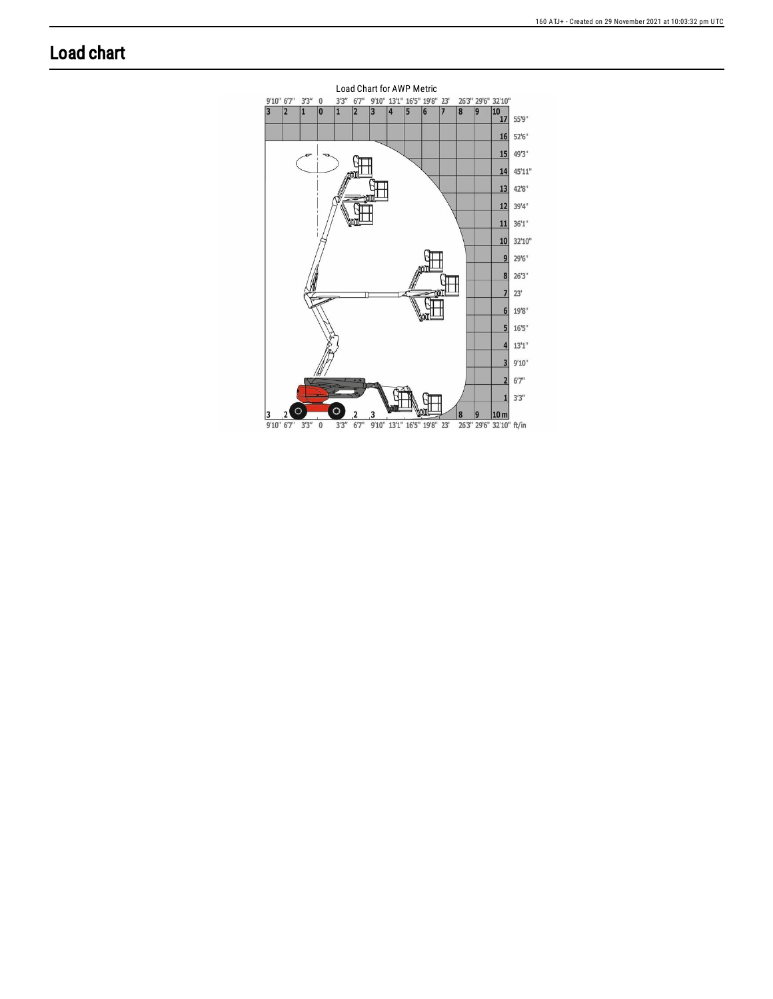## **Load chart**

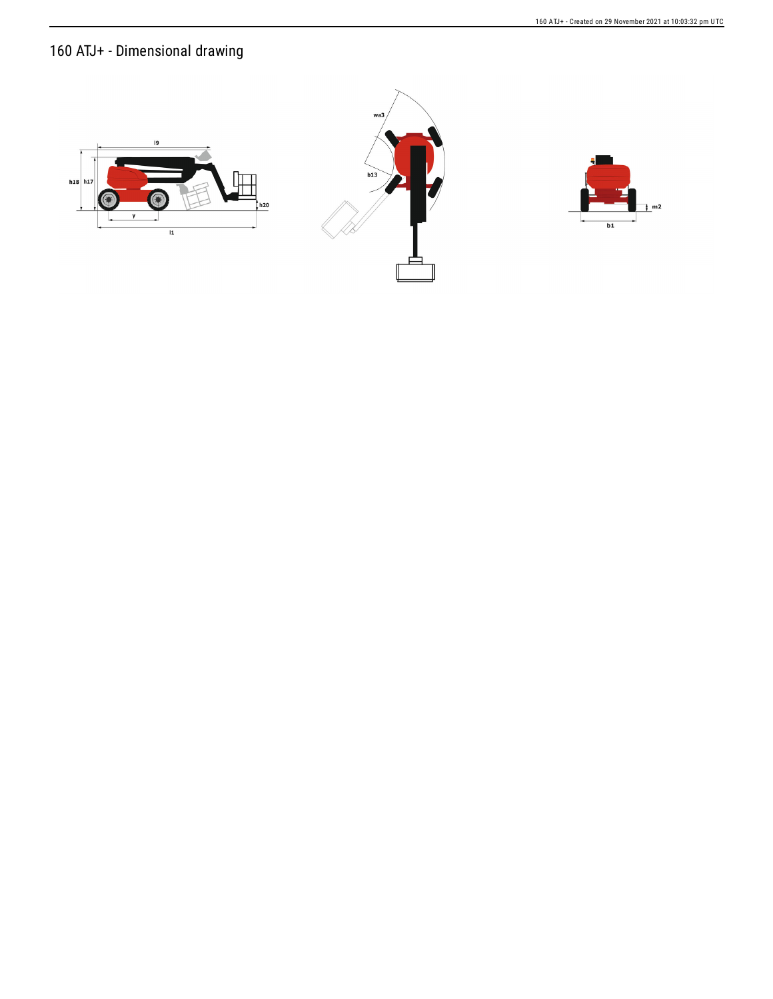160 ATJ+ - Created on 29 November 2021 at 10:03:32 pm UTC

## 160 ATJ+ - Dimensional drawing





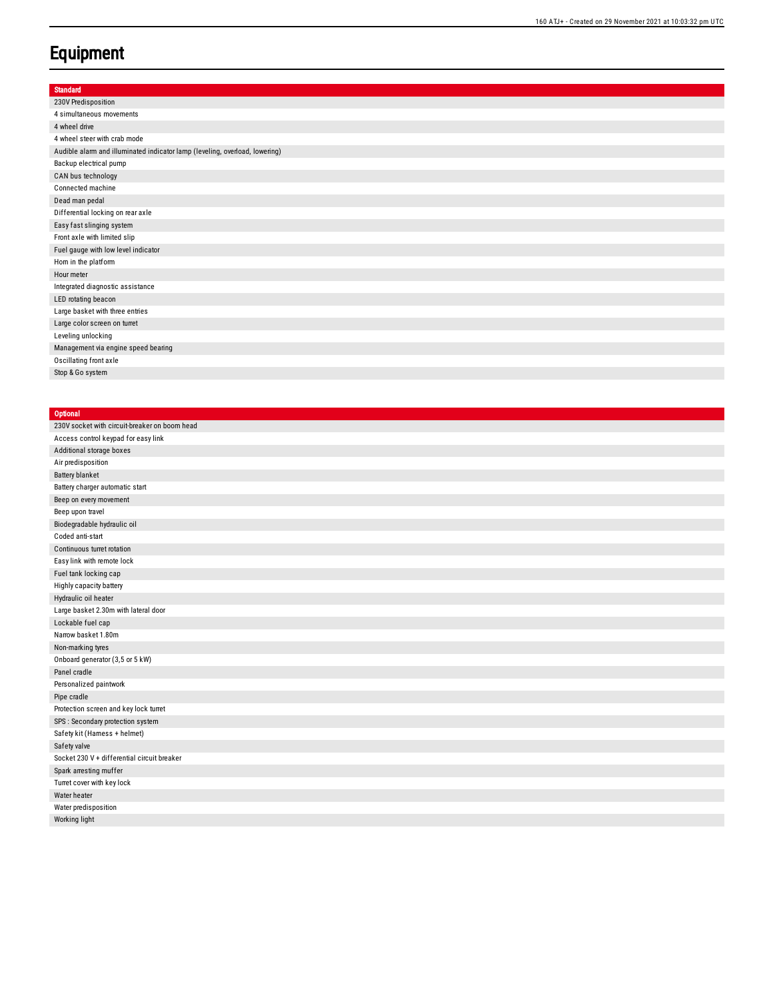## **Equipment**

| <b>Standard</b>                                                             |
|-----------------------------------------------------------------------------|
| 230V Predisposition                                                         |
| 4 simultaneous movements                                                    |
| 4 wheel drive                                                               |
| 4 wheel steer with crab mode                                                |
| Audible alarm and illuminated indicator lamp (leveling, overload, lowering) |
| Backup electrical pump                                                      |
| CAN bus technology                                                          |
| Connected machine                                                           |
| Dead man pedal                                                              |
| Differential locking on rear axle                                           |
| Easy fast slinging system                                                   |
| Front axle with limited slip                                                |
| Fuel gauge with low level indicator                                         |
| Hom in the platform                                                         |
| Hour meter                                                                  |
| Integrated diagnostic assistance                                            |
| LED rotating beacon                                                         |
| Large basket with three entries                                             |
| Large color screen on turret                                                |
| Leveling unlocking                                                          |
| Management via engine speed bearing                                         |
| Oscillating front axle                                                      |
| Stop & Go system                                                            |

## **Optional** 230V socket with circuit-breaker on boom head Access control keypad for easy link Additional storage boxes Air predisposition Battery blanket Battery charger automatic start Beep on every movement Beep upon travel Biodegradable hydraulic oil Coded anti-start Continuous turret rotation Easy link with remote lock Fuel tank locking cap Highly capacity battery Hydraulic oil heater Large basket 2.30m with lateral door Lockable fuel cap Narrow basket 1.80m Non-marking tyres Onboard generator (3,5 or 5 kW) Panel cradle Personalized paintwork Pipe cradle Protection screen and key lock turret SPS : Secondary protection system Safety kit (Hamess + helmet) Safety valve Socket 230 V + differential circuit breaker Spark arresting muffer Turret cover with key lock Water heater Water predisposition Working light